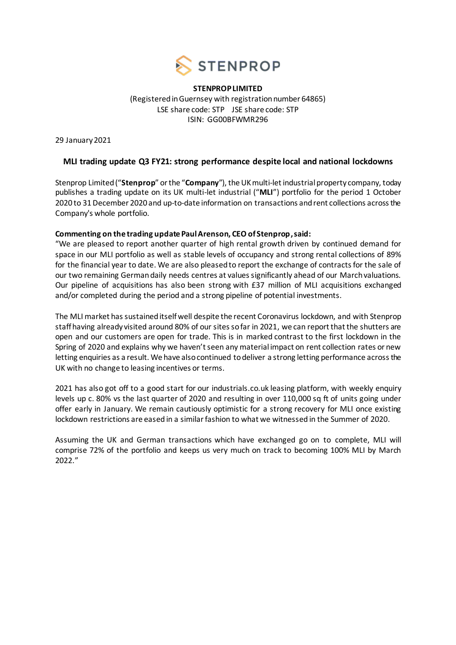

**STENPROP LIMITED** (Registered in Guernsey with registration number 64865) LSE share code: STP JSE share code: STP ISIN: GG00BFWMR296

29 January 2021

# **MLI trading update Q3 FY21: strong performance despite local and national lockdowns**

Stenprop Limited ("**Stenprop**" or the "**Company**"), the UK multi-let industrial property company, today publishes a trading update on its UK multi-let industrial ("**MLI**") portfolio for the period 1 October 2020 to 31December 2020 and up-to-date information on transactions and rent collections across the Company's whole portfolio.

# **Commenting on the trading update Paul Arenson, CEO of Stenprop,said:**

"We are pleased to report another quarter of high rental growth driven by continued demand for space in our MLI portfolio as well as stable levels of occupancy and strong rental collections of 89% for the financial year to date. We are also pleased to report the exchange of contracts for the sale of our two remaining German daily needs centres at values significantly ahead of our March valuations. Our pipeline of acquisitions has also been strong with £37 million of MLI acquisitions exchanged and/or completed during the period and a strong pipeline of potential investments.

The MLI market has sustained itself well despite the recent Coronavirus lockdown, and with Stenprop staff having already visited around 80% of our sites so far in 2021, we can report that the shutters are open and our customers are open for trade. This is in marked contrast to the first lockdown in the Spring of 2020 and explains why we haven't seen any material impact on rent collection rates or new letting enquiries as a result. We have also continued to deliver a strong letting performance across the UK with no change to leasing incentives or terms.

2021 has also got off to a good start for our industrials.co.uk leasing platform, with weekly enquiry levels up c. 80% vs the last quarter of 2020 and resulting in over 110,000 sq ft of units going under offer early in January. We remain cautiously optimistic for a strong recovery for MLI once existing lockdown restrictions are eased in a similar fashion to what we witnessed in the Summer of 2020.

Assuming the UK and German transactions which have exchanged go on to complete, MLI will comprise 72% of the portfolio and keeps us very much on track to becoming 100% MLI by March 2022."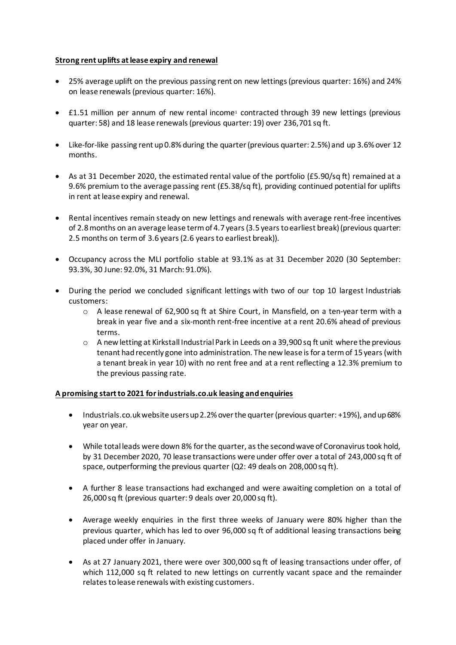# **Strong rent uplifts at lease expiry and renewal**

- 25% average uplift on the previous passing rent on new lettings (previous quarter: 16%) and 24% on lease renewals (previous quarter: 16%).
- £1.51 million per annum of new rental income<sup>1</sup> contracted through 39 new lettings (previous quarter: 58) and 18 lease renewals (previous quarter: 19) over 236,701 sq ft.
- Like-for-like passing rent up 0.8% during the quarter (previous quarter: 2.5%) and up 3.6% over 12 months.
- As at 31 December 2020, the estimated rental value of the portfolio (£5.90/sq ft) remained at a 9.6% premium to the average passing rent (£5.38/sq ft), providing continued potential for uplifts in rent at lease expiry and renewal.
- Rental incentives remain steady on new lettings and renewals with average rent-free incentives of 2.8months on an average lease term of 4.7 years (3.5 years to earliest break) (previous quarter: 2.5 months on term of 3.6 years (2.6 years to earliest break)).
- Occupancy across the MLI portfolio stable at 93.1% as at 31 December 2020 (30 September: 93.3%, 30 June: 92.0%, 31 March: 91.0%).
- During the period we concluded significant lettings with two of our top 10 largest Industrials customers:
	- o A lease renewal of 62,900 sq ft at Shire Court, in Mansfield, on a ten-year term with a break in year five and a six-month rent-free incentive at a rent 20.6% ahead of previous terms.
	- o A new letting at Kirkstall Industrial Park in Leeds on a 39,900 sq ft unit where the previous tenant had recently gone into administration. The new lease is for a term of 15 years (with a tenant break in year 10) with no rent free and at a rent reflecting a 12.3% premium to the previous passing rate.

### **A promising start to 2021 for industrials.co.uk leasing and enquiries**

- Industrials.co.uk website users up 2.2% over the quarter (previous quarter: +19%), and up 68% year on year.
- While total leads were down 8% for the quarter, as the second wave of Coronavirus took hold, by 31 December 2020, 70 lease transactions were under offer over a total of 243,000 sq ft of space, outperforming the previous quarter (Q2: 49 deals on 208,000 sq ft).
- A further 8 lease transactions had exchanged and were awaiting completion on a total of 26,000 sq ft (previous quarter: 9 deals over 20,000 sq ft).
- Average weekly enquiries in the first three weeks of January were 80% higher than the previous quarter, which has led to over 96,000 sq ft of additional leasing transactions being placed under offer in January.
- As at 27 January 2021, there were over 300,000 sq ft of leasing transactions under offer, of which 112,000 sq ft related to new lettings on currently vacant space and the remainder relates to lease renewals with existing customers.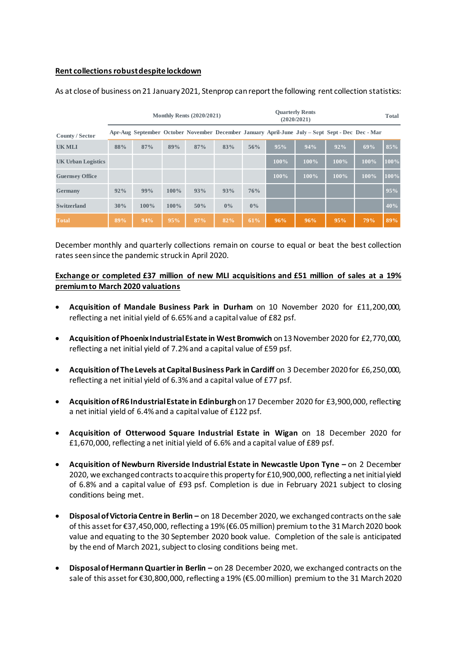## **Rent collections robustdespite lockdown**

|                           | <b>Monthly Rents (2020/2021)</b> |      |         |     |       | <b>Quarterly Rents</b><br>(2020/2021) |      |                                                                                                 |      |      | <b>Total</b> |
|---------------------------|----------------------------------|------|---------|-----|-------|---------------------------------------|------|-------------------------------------------------------------------------------------------------|------|------|--------------|
| County / Sector           |                                  |      |         |     |       |                                       |      | Apr-Aug September October November December January April-June July – Sept Sept - Dec Dec - Mar |      |      |              |
| <b>UK MLI</b>             | 88%                              | 87%  | 89%     | 87% | 83%   | 56%                                   | 95%  | 94%                                                                                             | 92%  | 69%  | 85%          |
| <b>UK Urban Logistics</b> |                                  |      |         |     |       |                                       | 100% | 100%                                                                                            | 100% | 100% | 100%         |
| <b>Guernsey Office</b>    |                                  |      |         |     |       |                                       | 100% | 100%                                                                                            | 100% | 100% | 100%         |
| <b>Germany</b>            | 92%                              | 99%  | $100\%$ | 93% | 93%   | 76%                                   |      |                                                                                                 |      |      | 95%          |
| <b>Switzerland</b>        | 30%                              | 100% | 100%    | 50% | $0\%$ | $0\%$                                 |      |                                                                                                 |      |      | 40%          |
| <b>Total</b>              | 89%                              | 94%  | 95%     | 87% | 82%   | 61%                                   | 96%  | 96%                                                                                             | 95%  | 79%  | 89%          |

As at close of business on 21 January 2021, Stenprop can report the following rent collection statistics:

December monthly and quarterly collections remain on course to equal or beat the best collection rates seen since the pandemic struck in April 2020.

# **Exchange or completed £37 million of new MLI acquisitions and £51 million of sales at a 19% premium to March 2020 valuations**

- **Acquisition of Mandale Business Park in Durham** on 10 November 2020 for £11,200,000, reflecting a net initial yield of 6.65% and a capital value of £82 psf.
- **Acquisition of Phoenix Industrial Estate in West Bromwich** on 13November 2020 for £2,770,000, reflecting a net initial yield of 7.2% and a capital value of £59 psf.
- **Acquisition of The Levels at Capital Business Park in Cardiff** on 3 December 2020 for £6,250,000, reflecting a net initial yield of 6.3% and a capital value of £77 psf.
- **Acquisition of R6 Industrial Estate in Edinburgh**on 17 December 2020 for £3,900,000, reflecting a net initial yield of 6.4% and a capital value of £122 psf.
- **Acquisition of Otterwood Square Industrial Estate in Wigan** on 18 December 2020 for £1,670,000, reflecting a net initial yield of 6.6% and a capital value of £89 psf.
- **Acquisition of Newburn Riverside Industrial Estate in Newcastle Upon Tyne –** on 2 December 2020, we exchanged contracts to acquire this property for £10,900,000, reflecting a net initial yield of 6.8% and a capital value of £93 psf. Completion is due in February 2021 subject to closing conditions being met.
- **Disposalof Victoria Centre in Berlin –** on 18 December 2020, we exchangedcontracts on the sale of this asset for €37,450,000, reflecting a 19% (€6.05 million) premium to the 31 March 2020 book value and equating to the 30 September 2020 book value. Completion of the sale is anticipated by the end of March 2021, subject to closing conditions being met.
- **Disposal of Hermann Quartierin Berlin –** on 28 December 2020, we exchanged contracts on the sale of this asset for €30,800,000, reflecting a 19% (€5.00million) premium to the 31 March 2020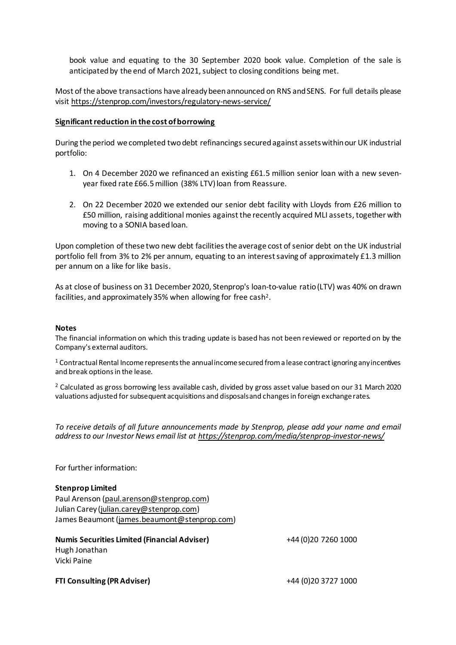book value and equating to the 30 September 2020 book value. Completion of the sale is anticipated by the end of March 2021, subject to closing conditions being met.

Most of the above transactions have already been announced on RNS and SENS. For full details please visi[t https://stenprop.com/investors/regulatory-news-service/](https://stenprop.com/investors/regulatory-news-service/)

### **Significant reduction in the cost of borrowing**

During the period we completed two debt refinancings secured against assets within our UK industrial portfolio:

- 1. On 4 December 2020 we refinanced an existing £61.5 million senior loan with a new sevenyear fixed rate £66.5million (38% LTV) loan from Reassure.
- 2. On 22 December 2020 we extended our senior debt facility with Lloyds from £26 million to £50 million, raising additional monies against the recently acquired MLI assets, together with moving to a SONIA based loan.

Upon completion of these two new debt facilities the average cost of senior debt on the UK industrial portfolio fell from 3% to 2% per annum, equating to an interest saving of approximately £1.3 million per annum on a like for like basis.

As at close of business on 31 December 2020, Stenprop's loan-to-value ratio (LTV) was 40% on drawn facilities, and approximately 35% when allowing for free cash<sup>2</sup>.

#### **Notes**

The financial information on which this trading update is based has not been reviewed or reported on by the Company's external auditors.

 $1$  Contractual Rental Income represents the annual income secured from a lease contract ignoring any incentives and break options in the lease.

<sup>2</sup> Calculated as gross borrowing less available cash, divided by gross asset value based on our 31 March 2020 valuations adjusted for subsequent acquisitions and disposals and changes in foreign exchange rates.

*To receive details of all future announcements made by Stenprop, please add your name and email address to our Investor News email list at<https://stenprop.com/media/stenprop-investor-news/>*

For further information:

### **Stenprop Limited**

Paul Arenson [\(paul.arenson@stenprop.com\)](mailto:paul.arenson@stenprop.com) Julian Carey [\(julian.carey@stenprop.com](mailto:julian.carey@stenprop.com)) James Beaumont [\(james.beaumont@stenprop.com](mailto:james.beaumont@stenprop.com))

**Numis Securities Limited (Financial Adviser)** +44 (0)20 7260 1000 Hugh Jonathan Vicki Paine

**FTI Consulting (PR Adviser)** +44 (0)20 3727 1000